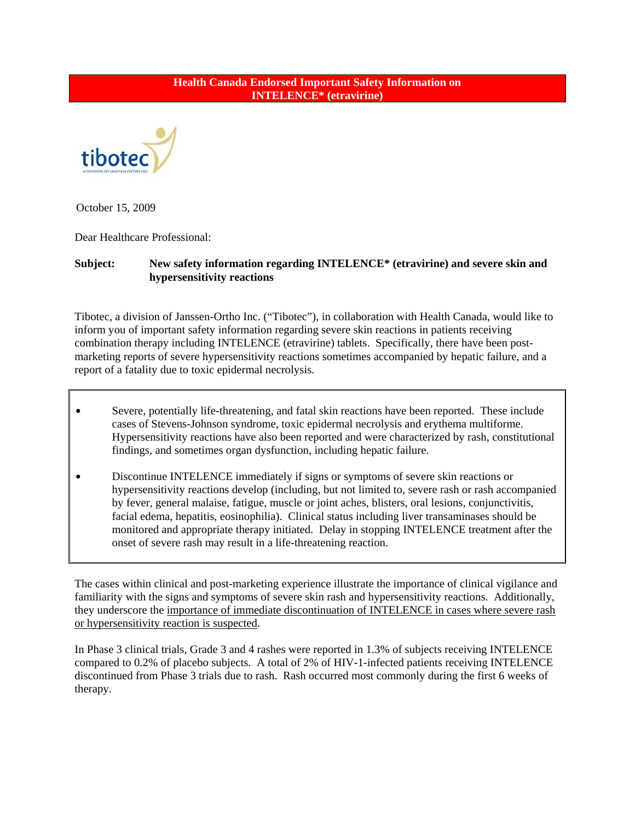## **Health Canada Endorsed Important Safety Information on INTELENCE\* (etravirine)**



October 15, 2009

Dear Healthcare Professional:

## **Subject: New safety information regarding INTELENCE\* (etravirine) and severe skin and hypersensitivity reactions**

Tibotec, a division of Janssen-Ortho Inc. ("Tibotec"), in collaboration with Health Canada, would like to inform you of important safety information regarding severe skin reactions in patients receiving combination therapy including INTELENCE (etravirine) tablets. Specifically, there have been postmarketing reports of severe hypersensitivity reactions sometimes accompanied by hepatic failure, and a report of a fatality due to toxic epidermal necrolysis.

- Severe, potentially life-threatening, and fatal skin reactions have been reported. These include cases of Stevens-Johnson syndrome, toxic epidermal necrolysis and erythema multiforme. Hypersensitivity reactions have also been reported and were characterized by rash, constitutional findings, and sometimes organ dysfunction, including hepatic failure.
- Discontinue INTELENCE immediately if signs or symptoms of severe skin reactions or hypersensitivity reactions develop (including, but not limited to, severe rash or rash accompanied by fever, general malaise, fatigue, muscle or joint aches, blisters, oral lesions, conjunctivitis, facial edema, hepatitis, eosinophilia). Clinical status including liver transaminases should be monitored and appropriate therapy initiated. Delay in stopping INTELENCE treatment after the onset of severe rash may result in a life-threatening reaction.

The cases within clinical and post-marketing experience illustrate the importance of clinical vigilance and familiarity with the signs and symptoms of severe skin rash and hypersensitivity reactions. Additionally, they underscore the importance of immediate discontinuation of INTELENCE in cases where severe rash or hypersensitivity reaction is suspected.

In Phase 3 clinical trials, Grade 3 and 4 rashes were reported in 1.3% of subjects receiving INTELENCE compared to 0.2% of placebo subjects. A total of 2% of HIV-1-infected patients receiving INTELENCE discontinued from Phase 3 trials due to rash. Rash occurred most commonly during the first 6 weeks of therapy.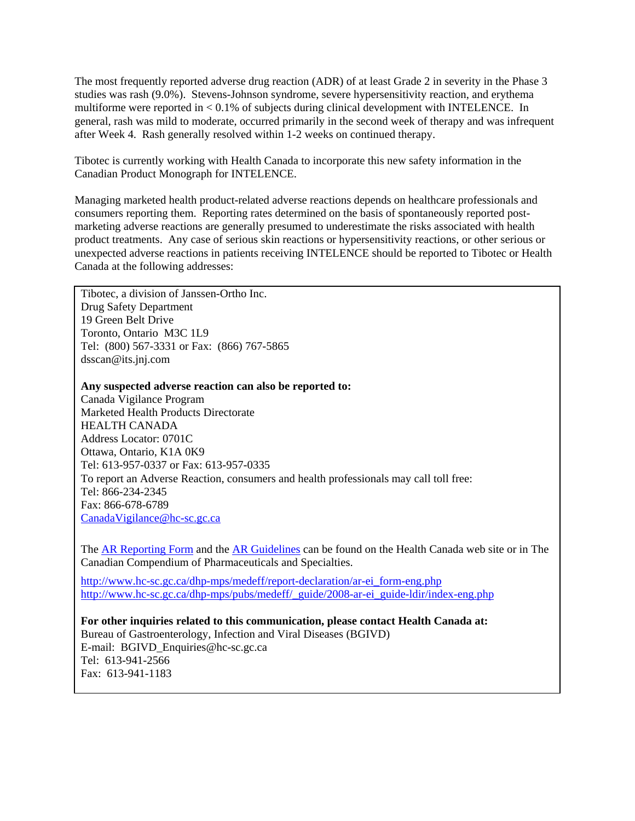The most frequently reported adverse drug reaction (ADR) of at least Grade 2 in severity in the Phase 3 studies was rash (9.0%). Stevens-Johnson syndrome, severe hypersensitivity reaction, and erythema multiforme were reported in < 0.1% of subjects during clinical development with INTELENCE. In general, rash was mild to moderate, occurred primarily in the second week of therapy and was infrequent after Week 4. Rash generally resolved within 1-2 weeks on continued therapy.

Tibotec is currently working with Health Canada to incorporate this new safety information in the Canadian Product Monograph for INTELENCE.

Managing marketed health product-related adverse reactions depends on healthcare professionals and consumers reporting them. Reporting rates determined on the basis of spontaneously reported postmarketing adverse reactions are generally presumed to underestimate the risks associated with health product treatments. Any case of serious skin reactions or hypersensitivity reactions, or other serious or unexpected adverse reactions in patients receiving INTELENCE should be reported to Tibotec or Health Canada at the following addresses:

Tibotec, a division of Janssen-Ortho Inc. Drug Safety Department 19 Green Belt Drive Toronto, Ontario M3C 1L9 Tel: (800) 567-3331 or Fax: (866) 767-5865 dsscan@its.jnj.com

**Any suspected adverse reaction can also be reported to:**

Canada Vigilance Program Marketed Health Products Directorate HEALTH CANADA Address Locator: 0701C Ottawa, Ontario, K1A 0K9 Tel: 613-957-0337 or Fax: 613-957-0335 To report an Adverse Reaction, consumers and health professionals may call toll free: Tel: 866-234-2345 Fax: 866-678-6789 [CanadaVigilance@hc-sc.gc.ca](mailto:CanadaVigilance@hc-sc.gc.ca)

The [AR Reporting Form](http://www.hc-sc.gc.ca/dhp-mps/medeff/report-declaration/ar-ei_form-eng.php) and the [AR Guidelines](http://www.hc-sc.gc.ca/dhp-mps/medeff/report-declaration/_guide/ar-ei_guide-ldir-eng.php) can be found on the Health Canada web site or in The Canadian Compendium of Pharmaceuticals and Specialties.

[http://www.hc-sc.gc.ca/dhp-mps/medeff/report-declaration/ar-ei\\_form-eng.php](http://www.hc-sc.gc.ca/dhp-mps/medeff/report-declaration/ar-ei_form-eng.php) [http://www.hc-sc.gc.ca/dhp-mps/pubs/medeff/\\_guide/2008-ar-ei\\_guide-ldir/index-eng.php](http://www.hc-sc.gc.ca/dhp-mps/pubs/medeff/_guide/2008-ar-ei_guide-ldir/index-eng.php)

**For other inquiries related to this communication, please contact Health Canada at:**  Bureau of Gastroenterology, Infection and Viral Diseases (BGIVD) E-mail: BGIVD\_Enquiries@hc-sc.gc.ca Tel: 613-941-2566 Fax: 613-941-1183